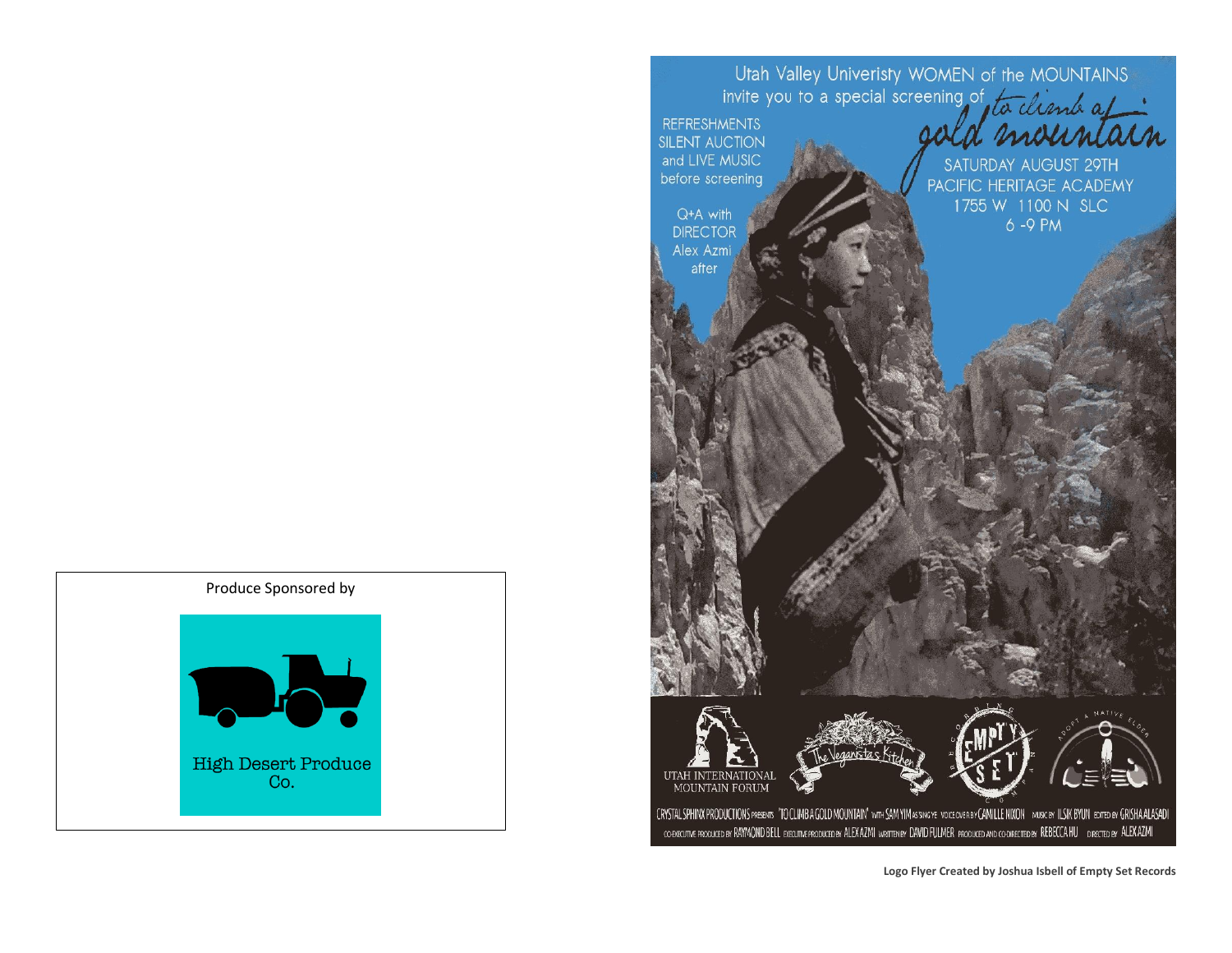